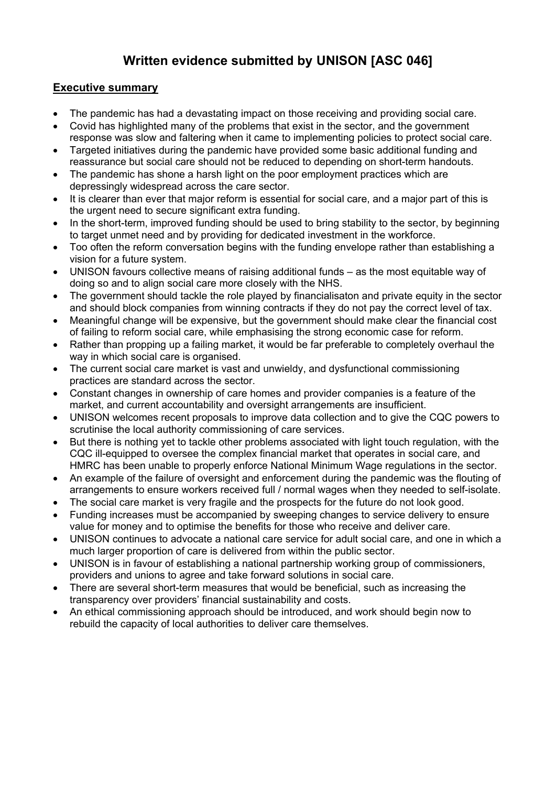# **Written evidence submitted by UNISON [ASC 046]**

# **Executive summary**

- The pandemic has had a devastating impact on those receiving and providing social care.
- Covid has highlighted many of the problems that exist in the sector, and the government response was slow and faltering when it came to implementing policies to protect social care.
- Targeted initiatives during the pandemic have provided some basic additional funding and reassurance but social care should not be reduced to depending on short-term handouts.
- The pandemic has shone a harsh light on the poor employment practices which are depressingly widespread across the care sector.
- It is clearer than ever that major reform is essential for social care, and a major part of this is the urgent need to secure significant extra funding.
- In the short-term, improved funding should be used to bring stability to the sector, by beginning to target unmet need and by providing for dedicated investment in the workforce.
- Too often the reform conversation begins with the funding envelope rather than establishing a vision for a future system.
- UNISON favours collective means of raising additional funds as the most equitable way of doing so and to align social care more closely with the NHS.
- The government should tackle the role played by financialisaton and private equity in the sector and should block companies from winning contracts if they do not pay the correct level of tax.
- Meaningful change will be expensive, but the government should make clear the financial cost of failing to reform social care, while emphasising the strong economic case for reform.
- Rather than propping up a failing market, it would be far preferable to completely overhaul the way in which social care is organised.
- The current social care market is vast and unwieldy, and dysfunctional commissioning practices are standard across the sector.
- Constant changes in ownership of care homes and provider companies is a feature of the market, and current accountability and oversight arrangements are insufficient.
- UNISON welcomes recent proposals to improve data collection and to give the CQC powers to scrutinise the local authority commissioning of care services.
- But there is nothing yet to tackle other problems associated with light touch regulation, with the CQC ill-equipped to oversee the complex financial market that operates in social care, and HMRC has been unable to properly enforce National Minimum Wage regulations in the sector.
- An example of the failure of oversight and enforcement during the pandemic was the flouting of arrangements to ensure workers received full / normal wages when they needed to self-isolate.
- The social care market is very fragile and the prospects for the future do not look good.
- Funding increases must be accompanied by sweeping changes to service delivery to ensure value for money and to optimise the benefits for those who receive and deliver care.
- UNISON continues to advocate a national care service for adult social care, and one in which a much larger proportion of care is delivered from within the public sector.
- UNISON is in favour of establishing a national partnership working group of commissioners, providers and unions to agree and take forward solutions in social care.
- There are several short-term measures that would be beneficial, such as increasing the transparency over providers' financial sustainability and costs.
- An ethical commissioning approach should be introduced, and work should begin now to rebuild the capacity of local authorities to deliver care themselves.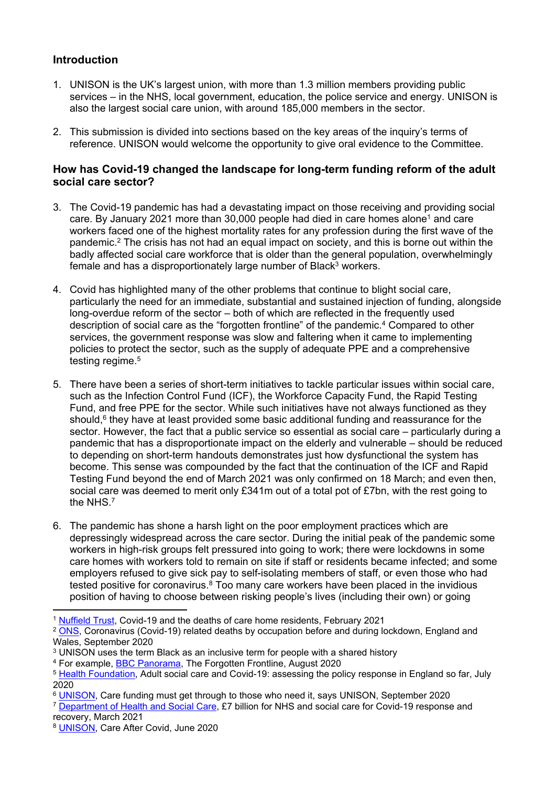# **Introduction**

- 1. UNISON is the UK's largest union, with more than 1.3 million members providing public services – in the NHS, local government, education, the police service and energy. UNISON is also the largest social care union, with around 185,000 members in the sector.
- 2. This submission is divided into sections based on the key areas of the inquiry's terms of reference. UNISON would welcome the opportunity to give oral evidence to the Committee.

#### **How has Covid-19 changed the landscape for long-term funding reform of the adult social care sector?**

- 3. The Covid-19 pandemic has had a devastating impact on those receiving and providing social care. By January 2021 more than  $30,000$  people had died in care homes alone<sup>1</sup> and care workers faced one of the highest mortality rates for any profession during the first wave of the pandemic.<sup>2</sup> The crisis has not had an equal impact on society, and this is borne out within the badly affected social care workforce that is older than the general population, overwhelmingly female and has a disproportionately large number of Black $3$  workers.
- 4. Covid has highlighted many of the other problems that continue to blight social care, particularly the need for an immediate, substantial and sustained injection of funding, alongside long-overdue reform of the sector – both of which are reflected in the frequently used description of social care as the "forgotten frontline" of the pandemic.<sup>4</sup> Compared to other services, the government response was slow and faltering when it came to implementing policies to protect the sector, such as the supply of adequate PPE and a comprehensive testing regime.<sup>5</sup>
- 5. There have been a series of short-term initiatives to tackle particular issues within social care, such as the Infection Control Fund (ICF), the Workforce Capacity Fund, the Rapid Testing Fund, and free PPE for the sector. While such initiatives have not always functioned as they should,<sup>6</sup> they have at least provided some basic additional funding and reassurance for the sector. However, the fact that a public service so essential as social care – particularly during a pandemic that has a disproportionate impact on the elderly and vulnerable – should be reduced to depending on short-term handouts demonstrates just how dysfunctional the system has become. This sense was compounded by the fact that the continuation of the ICF and Rapid Testing Fund beyond the end of March 2021 was only confirmed on 18 March; and even then, social care was deemed to merit only £341m out of a total pot of £7bn, with the rest going to the NHS.<sup>7</sup>
- 6. The pandemic has shone a harsh light on the poor employment practices which are depressingly widespread across the care sector. During the initial peak of the pandemic some workers in high-risk groups felt pressured into going to work; there were lockdowns in some care homes with workers told to remain on site if staff or residents became infected; and some employers refused to give sick pay to self-isolating members of staff, or even those who had tested positive for coronavirus. $8$  Too many care workers have been placed in the invidious position of having to choose between risking people's lives (including their own) or going

<sup>1</sup> [Nuffield](https://www.nuffieldtrust.org.uk/news-item/covid-19-and-the-deaths-of-care-home-residents) [Trust,](https://www.nuffieldtrust.org.uk/news-item/covid-19-and-the-deaths-of-care-home-residents) Covid-19 and the deaths of care home residents, February 2021

<sup>&</sup>lt;sup>2</sup> [ONS,](https://www.ons.gov.uk/peoplepopulationandcommunity/healthandsocialcare/causesofdeath/bulletins/coronaviruscovid19relateddeathsbyoccupationbeforeandduringlockdownenglandandwales/deathsregisteredbetween9marchand30jun2020) Coronavirus (Covid-19) related deaths by occupation before and during lockdown, England and Wales, September 2020

<sup>3</sup> UNISON uses the term Black as an inclusive term for people with a shared history

<sup>4</sup> For example, [BBC](https://www.bbc.co.uk/programmes/m000lbq0) [Panorama,](https://www.bbc.co.uk/programmes/m000lbq0) The Forgotten Frontline, August 2020

<sup>&</sup>lt;sup>5</sup> [Health](https://www.health.org.uk/publications/reports/adult-social-care-and-covid-19-assessing-the-policy-response-in-england) [Foundation,](https://www.health.org.uk/publications/reports/adult-social-care-and-covid-19-assessing-the-policy-response-in-england) Adult social care and Covid-19: assessing the policy response in England so far, July 2020

<sup>6</sup> [UNISON,](https://www.unison.org.uk/news/2020/09/care-funding-must-get-need-says-unison/) Care funding must get through to those who need it, says UNISON, September 2020

<sup>&</sup>lt;sup>7</sup> [Department](https://www.gov.uk/government/news/7billion-for-nhs-and-social-care-for-covid-19-response-and-recovery) [of](https://www.gov.uk/government/news/7billion-for-nhs-and-social-care-for-covid-19-response-and-recovery) [Health](https://www.gov.uk/government/news/7billion-for-nhs-and-social-care-for-covid-19-response-and-recovery) [and](https://www.gov.uk/government/news/7billion-for-nhs-and-social-care-for-covid-19-response-and-recovery) [Social](https://www.gov.uk/government/news/7billion-for-nhs-and-social-care-for-covid-19-response-and-recovery) [Care,](https://www.gov.uk/government/news/7billion-for-nhs-and-social-care-for-covid-19-response-and-recovery) £7 billion for NHS and social care for Covid-19 response and recovery, March 2021

<sup>8</sup> [UNISON,](https://www.unison.org.uk/content/uploads/2020/06/A-UNISON-Vision-for-Social-Care-June-2020.pdf) Care After Covid, June 2020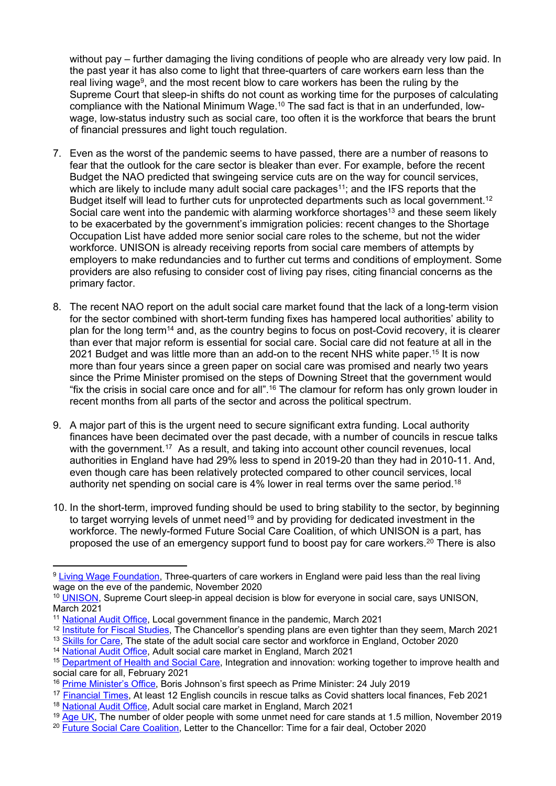without pay – further damaging the living conditions of people who are already very low paid. In the past year it has also come to light that three-quarters of care workers earn less than the real living wage<sup>9</sup>, and the most recent blow to care workers has been the ruling by the Supreme Court that sleep-in shifts do not count as working time for the purposes of calculating compliance with the National Minimum Wage.<sup>10</sup> The sad fact is that in an underfunded, lowwage, low-status industry such as social care, too often it is the workforce that bears the brunt of financial pressures and light touch regulation.

- 7. Even as the worst of the pandemic seems to have passed, there are a number of reasons to fear that the outlook for the care sector is bleaker than ever. For example, before the recent Budget the NAO predicted that swingeing service cuts are on the way for council services, which are likely to include many adult social care packages<sup>11</sup>; and the IFS reports that the Budget itself will lead to further cuts for unprotected departments such as local government.<sup>12</sup> Social care went into the pandemic with alarming workforce shortages<sup>13</sup> and these seem likely to be exacerbated by the government's immigration policies: recent changes to the Shortage Occupation List have added more senior social care roles to the scheme, but not the wider workforce. UNISON is already receiving reports from social care members of attempts by employers to make redundancies and to further cut terms and conditions of employment. Some providers are also refusing to consider cost of living pay rises, citing financial concerns as the primary factor.
- 8. The recent NAO report on the adult social care market found that the lack of a long-term vision for the sector combined with short-term funding fixes has hampered local authorities' ability to plan for the long term<sup>14</sup> and, as the country begins to focus on post-Covid recovery, it is clearer than ever that major reform is essential for social care. Social care did not feature at all in the 2021 Budget and was little more than an add-on to the recent NHS white paper.<sup>15</sup> It is now more than four years since a green paper on social care was promised and nearly two years since the Prime Minister promised on the steps of Downing Street that the government would "fix the crisis in social care once and for all".<sup>16</sup> The clamour for reform has only grown louder in recent months from all parts of the sector and across the political spectrum.
- 9. A major part of this is the urgent need to secure significant extra funding. Local authority finances have been decimated over the past decade, with a number of councils in rescue talks with the government.<sup>17</sup> As a result, and taking into account other council revenues, local authorities in England have had 29% less to spend in 2019-20 than they had in 2010-11. And, even though care has been relatively protected compared to other council services, local authority net spending on social care is 4% lower in real terms over the same period.<sup>18</sup>
- 10. In the short-term, improved funding should be used to bring stability to the sector, by beginning to target worrying levels of unmet need<sup>19</sup> and by providing for dedicated investment in the workforce. The newly-formed Future Social Care Coalition, of which UNISON is a part, has proposed the use of an emergency support fund to boost pay for care workers.<sup>20</sup> There is also

<sup>9</sup> [Living](https://www.livingwage.org.uk/news/news-three-quarters-care-workers-england-were-paid-less-real-living-wage-eve-pandemic) [Wage](https://www.livingwage.org.uk/news/news-three-quarters-care-workers-england-were-paid-less-real-living-wage-eve-pandemic) [Foundation,](https://www.livingwage.org.uk/news/news-three-quarters-care-workers-england-were-paid-less-real-living-wage-eve-pandemic) Three-quarters of care workers in England were paid less than the real living wage on the eve of the pandemic, November 2020

<sup>10</sup> [UNISON,](https://www.unison.org.uk/news/press-release/2021/03/supreme-court-sleep-appeal-decision-blow-%E2%80%8Beveryone-social-care-says-unison/) Supreme Court sleep-in appeal decision is blow for everyone in social care, says UNISON, March 2021

<sup>11</sup> [National](https://www.nao.org.uk/press-release/local-government-finance-in-the-pandemic/) [Audit](https://www.nao.org.uk/press-release/local-government-finance-in-the-pandemic/) [Office,](https://www.nao.org.uk/press-release/local-government-finance-in-the-pandemic/) Local government finance in the pandemic, March 2021

<sup>&</sup>lt;sup>12</sup> [Institute](https://www.ifs.org.uk/publications/15365) [for](https://www.ifs.org.uk/publications/15365) [Fiscal](https://www.ifs.org.uk/publications/15365) [Studies](https://www.ifs.org.uk/publications/15365), The Chancellor's spending plans are even tighter than they seem, March 2021

<sup>13</sup> [Skills](https://www.skillsforcare.org.uk/adult-social-care-workforce-data/Workforce-intelligence/publications/national-information/The-state-of-the-adult-social-care-sector-and-workforce-in-England.aspx) [for](https://www.skillsforcare.org.uk/adult-social-care-workforce-data/Workforce-intelligence/publications/national-information/The-state-of-the-adult-social-care-sector-and-workforce-in-England.aspx) [Care,](https://www.skillsforcare.org.uk/adult-social-care-workforce-data/Workforce-intelligence/publications/national-information/The-state-of-the-adult-social-care-sector-and-workforce-in-England.aspx) The state of the adult social care sector and workforce in England, October 2020

<sup>14</sup> [National](http://www.nao.org.uk/wp-content/uploads/2021/03/The-adult-social-care-market-in-England.pdf) [Audit](http://www.nao.org.uk/wp-content/uploads/2021/03/The-adult-social-care-market-in-England.pdf) [Of](http://www.nao.org.uk/wp-content/uploads/2021/03/The-adult-social-care-market-in-England.pdf)fice, Adult social care market in England, March 2021

<sup>15</sup> [Department](https://www.gov.uk/government/publications/working-together-to-improve-health-and-social-care-for-all) [of](https://www.gov.uk/government/publications/working-together-to-improve-health-and-social-care-for-all) [Health](https://www.gov.uk/government/publications/working-together-to-improve-health-and-social-care-for-all) [and](https://www.gov.uk/government/publications/working-together-to-improve-health-and-social-care-for-all) [Social](https://www.gov.uk/government/publications/working-together-to-improve-health-and-social-care-for-all) [Care,](https://www.gov.uk/government/publications/working-together-to-improve-health-and-social-care-for-all) Integration and innovation: working together to improve health and social care for all, February 2021

<sup>16</sup> [Prime](https://www.gov.uk/government/speeches/boris-johnsons-first-speech-as-prime-minister-24-july-2019) [Minister's](https://www.gov.uk/government/speeches/boris-johnsons-first-speech-as-prime-minister-24-july-2019) [Office,](https://www.gov.uk/government/speeches/boris-johnsons-first-speech-as-prime-minister-24-july-2019) Boris Johnson's first speech as Prime Minister: 24 July 2019

<sup>17</sup> [Financial](https://www.ft.com/content/600882a5-51cd-43bb-8f6f-c8283b4a7000) [T](https://www.ft.com/content/600882a5-51cd-43bb-8f6f-c8283b4a7000)imes, At least 12 English councils in rescue talks as Covid shatters local finances, Feb 2021

<sup>18</sup> [National](http://www.nao.org.uk/wp-content/uploads/2021/03/The-adult-social-care-market-in-England.pdf) [Audit](http://www.nao.org.uk/wp-content/uploads/2021/03/The-adult-social-care-market-in-England.pdf) [Of](http://www.nao.org.uk/wp-content/uploads/2021/03/The-adult-social-care-market-in-England.pdf)fice, Adult social care market in England, March 2021

<sup>&</sup>lt;sup>19</sup> [Age](https://www.ageuk.org.uk/latest-press/articles/2019/november/the-number-of-older-people-with-some-unmet-need-for-care-now-stands-at-1.5-million/) [UK](https://www.ageuk.org.uk/latest-press/articles/2019/november/the-number-of-older-people-with-some-unmet-need-for-care-now-stands-at-1.5-million/), The number of older people with some unmet need for care stands at 1.5 million, November 2019

<sup>20</sup> [Future](https://www.unison.org.uk/content/uploads/2020/10/Future-Social-Care-Coalition-letter-to-Chancellor-2.pdf) [Social](https://www.unison.org.uk/content/uploads/2020/10/Future-Social-Care-Coalition-letter-to-Chancellor-2.pdf) [Care](https://www.unison.org.uk/content/uploads/2020/10/Future-Social-Care-Coalition-letter-to-Chancellor-2.pdf) [Coalition,](https://www.unison.org.uk/content/uploads/2020/10/Future-Social-Care-Coalition-letter-to-Chancellor-2.pdf) Letter to the Chancellor: Time for a fair deal, October 2020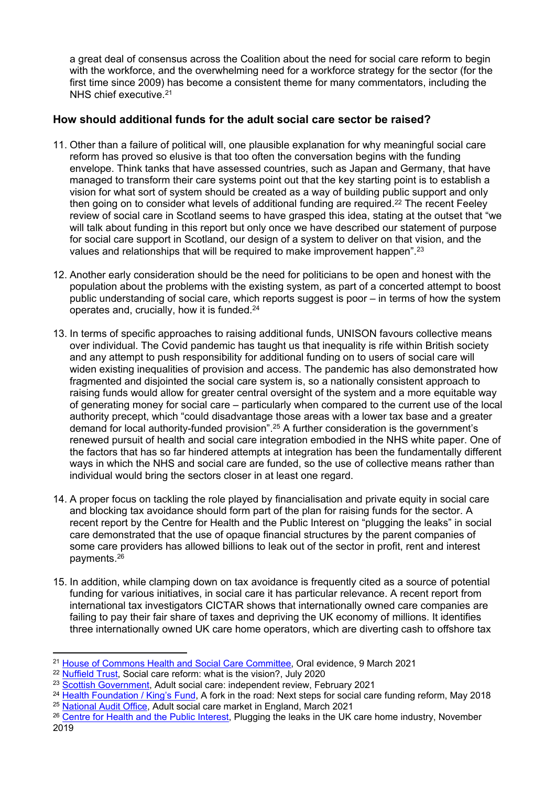a great deal of consensus across the Coalition about the need for social care reform to begin with the workforce, and the overwhelming need for a workforce strategy for the sector (for the first time since 2009) has become a consistent theme for many commentators, including the NHS chief executive.<sup>21</sup>

## **How should additional funds for the adult social care sector be raised?**

- 11. Other than a failure of political will, one plausible explanation for why meaningful social care reform has proved so elusive is that too often the conversation begins with the funding envelope. Think tanks that have assessed countries, such as Japan and Germany, that have managed to transform their care systems point out that the key starting point is to establish a vision for what sort of system should be created as a way of building public support and only then going on to consider what levels of additional funding are required.<sup>22</sup> The recent Feeley review of social care in Scotland seems to have grasped this idea, stating at the outset that "we will talk about funding in this report but only once we have described our statement of purpose for social care support in Scotland, our design of a system to deliver on that vision, and the values and relationships that will be required to make improvement happen".<sup>23</sup>
- 12. Another early consideration should be the need for politicians to be open and honest with the population about the problems with the existing system, as part of a concerted attempt to boost public understanding of social care, which reports suggest is poor – in terms of how the system operates and, crucially, how it is funded.<sup>24</sup>
- 13. In terms of specific approaches to raising additional funds, UNISON favours collective means over individual. The Covid pandemic has taught us that inequality is rife within British society and any attempt to push responsibility for additional funding on to users of social care will widen existing inequalities of provision and access. The pandemic has also demonstrated how fragmented and disjointed the social care system is, so a nationally consistent approach to raising funds would allow for greater central oversight of the system and a more equitable way of generating money for social care – particularly when compared to the current use of the local authority precept, which "could disadvantage those areas with a lower tax base and a greater demand for local authority-funded provision".<sup>25</sup> A further consideration is the government's renewed pursuit of health and social care integration embodied in the NHS white paper. One of the factors that has so far hindered attempts at integration has been the fundamentally different ways in which the NHS and social care are funded, so the use of collective means rather than individual would bring the sectors closer in at least one regard.
- 14. A proper focus on tackling the role played by financialisation and private equity in social care and blocking tax avoidance should form part of the plan for raising funds for the sector. A recent report by the Centre for Health and the Public Interest on "plugging the leaks" in social care demonstrated that the use of opaque financial structures by the parent companies of some care providers has allowed billions to leak out of the sector in profit, rent and interest payments.<sup>26</sup>
- 15. In addition, while clamping down on tax avoidance is frequently cited as a source of potential funding for various initiatives, in social care it has particular relevance. A recent report from international tax investigators CICTAR shows that internationally owned care companies are failing to pay their fair share of taxes and depriving the UK economy of millions. It identifies three internationally owned UK care home operators, which are diverting cash to offshore tax

<sup>&</sup>lt;sup>21</sup> [House](https://committees.parliament.uk/oralevidence/1830/pdf/) [of](https://committees.parliament.uk/oralevidence/1830/pdf/) [Commons](https://committees.parliament.uk/oralevidence/1830/pdf/) [Health](https://committees.parliament.uk/oralevidence/1830/pdf/) [and](https://committees.parliament.uk/oralevidence/1830/pdf/) [Social](https://committees.parliament.uk/oralevidence/1830/pdf/) [Care](https://committees.parliament.uk/oralevidence/1830/pdf/) [Committee,](https://committees.parliament.uk/oralevidence/1830/pdf/) Oral evidence, 9 March 2021

<sup>&</sup>lt;sup>22</sup> [Nuffield](https://www.nuffieldtrust.org.uk/news-item/social-care-reform-what-is-the-vision#clarity-of-vision) [Trust](https://www.nuffieldtrust.org.uk/news-item/social-care-reform-what-is-the-vision#clarity-of-vision), Social care reform: what is the vision?, July 2020

<sup>&</sup>lt;sup>23</sup> [Scottish](https://www.gov.scot/publications/independent-review-adult-social-care-scotland/pages/4/) [Government](https://www.gov.scot/publications/independent-review-adult-social-care-scotland/pages/4/), Adult social care: independent review, February 2021

<sup>&</sup>lt;sup>24</sup> [Health](https://www.kingsfund.org.uk/sites/default/files/2018-05/A-fork-in-the-road-next-steps-for-social-care-funding-reform-May-2018.pdf) [Foundation](https://www.kingsfund.org.uk/sites/default/files/2018-05/A-fork-in-the-road-next-steps-for-social-care-funding-reform-May-2018.pdf) [/](https://www.kingsfund.org.uk/sites/default/files/2018-05/A-fork-in-the-road-next-steps-for-social-care-funding-reform-May-2018.pdf) [King's](https://www.kingsfund.org.uk/sites/default/files/2018-05/A-fork-in-the-road-next-steps-for-social-care-funding-reform-May-2018.pdf) [Fund,](https://www.kingsfund.org.uk/sites/default/files/2018-05/A-fork-in-the-road-next-steps-for-social-care-funding-reform-May-2018.pdf) A fork in the road: Next steps for social care funding reform, May 2018 <sup>25</sup> [National](http://www.nao.org.uk/wp-content/uploads/2021/03/The-adult-social-care-market-in-England.pdf) [Audit](http://www.nao.org.uk/wp-content/uploads/2021/03/The-adult-social-care-market-in-England.pdf) [Of](http://www.nao.org.uk/wp-content/uploads/2021/03/The-adult-social-care-market-in-England.pdf)fice, Adult social care market in England, March 2021

<sup>&</sup>lt;sup>26</sup> [Centre](https://chpi.org.uk/papers/reports/plugging-the-leaks-in-the-uk-care-home-industry/) [for](https://chpi.org.uk/papers/reports/plugging-the-leaks-in-the-uk-care-home-industry/) [Health](https://chpi.org.uk/papers/reports/plugging-the-leaks-in-the-uk-care-home-industry/) [and](https://chpi.org.uk/papers/reports/plugging-the-leaks-in-the-uk-care-home-industry/) [the](https://chpi.org.uk/papers/reports/plugging-the-leaks-in-the-uk-care-home-industry/) [Public](https://chpi.org.uk/papers/reports/plugging-the-leaks-in-the-uk-care-home-industry/) [Interest](https://chpi.org.uk/papers/reports/plugging-the-leaks-in-the-uk-care-home-industry/), Plugging the leaks in the UK care home industry, November 2019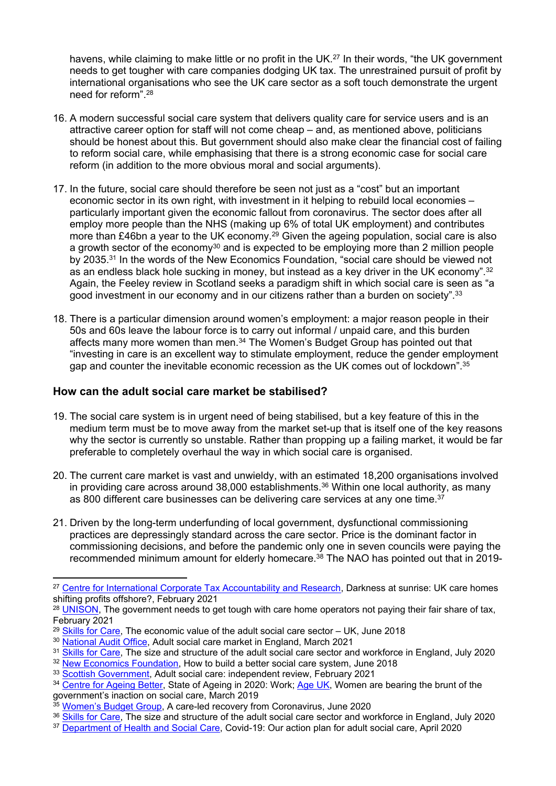havens, while claiming to make little or no profit in the UK.<sup>27</sup> In their words, "the UK government needs to get tougher with care companies dodging UK tax. The unrestrained pursuit of profit by international organisations who see the UK care sector as a soft touch demonstrate the urgent need for reform".<sup>28</sup>

- 16. A modern successful social care system that delivers quality care for service users and is an attractive career option for staff will not come cheap – and, as mentioned above, politicians should be honest about this. But government should also make clear the financial cost of failing to reform social care, while emphasising that there is a strong economic case for social care reform (in addition to the more obvious moral and social arguments).
- 17. In the future, social care should therefore be seen not just as a "cost" but an important economic sector in its own right, with investment in it helping to rebuild local economies – particularly important given the economic fallout from coronavirus. The sector does after all employ more people than the NHS (making up 6% of total UK employment) and contributes more than £46bn a year to the UK economy.<sup>29</sup> Given the ageing population, social care is also a growth sector of the economy<sup>30</sup> and is expected to be employing more than 2 million people by 2035.<sup>31</sup> In the words of the New Economics Foundation, "social care should be viewed not as an endless black hole sucking in money, but instead as a key driver in the UK economy".<sup>32</sup> Again, the Feeley review in Scotland seeks a paradigm shift in which social care is seen as "a good investment in our economy and in our citizens rather than a burden on society".<sup>33</sup>
- 18. There is a particular dimension around women's employment: a major reason people in their 50s and 60s leave the labour force is to carry out informal / unpaid care, and this burden affects many more women than men.<sup>34</sup> The Women's Budget Group has pointed out that "investing in care is an excellent way to stimulate employment, reduce the gender employment gap and counter the inevitable economic recession as the UK comes out of lockdown".<sup>35</sup>

## **How can the adult social care market be stabilised?**

- 19. The social care system is in urgent need of being stabilised, but a key feature of this in the medium term must be to move away from the market set-up that is itself one of the key reasons why the sector is currently so unstable. Rather than propping up a failing market, it would be far preferable to completely overhaul the way in which social care is organised.
- 20. The current care market is vast and unwieldy, with an estimated 18,200 organisations involved in pr[o](https://www.gov.uk/government/publications/coronavirus-covid-19-adult-social-care-action-plan)viding care across around  $38,000$  establishments.<sup>36</sup> Within one local authority, as many as [800](https://www.gov.uk/government/publications/coronavirus-covid-19-adult-social-care-action-plan) [different](https://www.gov.uk/government/publications/coronavirus-covid-19-adult-social-care-action-plan) [care](https://www.gov.uk/government/publications/coronavirus-covid-19-adult-social-care-action-plan) [businesses](https://www.gov.uk/government/publications/coronavirus-covid-19-adult-social-care-action-plan) can be delivering care services at any one time.<sup>37</sup>
- 21. Driven by the long-term underfunding of local government, dysfunctional commissioning practices are depressingly standard across the care sector. Price is the dominant factor in commissioning decisions, and before the pandemic only one in seven councils were paying the recommended minimum amount for elderly homecare.<sup>38</sup> The NAO has pointed out that in 2019-

- <sup>31</sup> [Skills](https://www.skillsforcare.org.uk/adult-social-care-workforce-data/Workforce-intelligence/publications/national-information/The-size-and-structure-of-the-adult-social-care-sector-and-workforce-in-England.aspx) [for](https://www.skillsforcare.org.uk/adult-social-care-workforce-data/Workforce-intelligence/publications/national-information/The-size-and-structure-of-the-adult-social-care-sector-and-workforce-in-England.aspx) [Care,](https://www.skillsforcare.org.uk/adult-social-care-workforce-data/Workforce-intelligence/publications/national-information/The-size-and-structure-of-the-adult-social-care-sector-and-workforce-in-England.aspx) The size and structure of the adult social care sector and workforce in England, July 2020
- <sup>32</sup> [New](https://neweconomics.org/2018/06/an-alternative-future-for-social-care-does-exist-and-we-need-to-move-towards-it-with-the-urgency-it-demands) [Economics](https://neweconomics.org/2018/06/an-alternative-future-for-social-care-does-exist-and-we-need-to-move-towards-it-with-the-urgency-it-demands) [Foundation](https://neweconomics.org/2018/06/an-alternative-future-for-social-care-does-exist-and-we-need-to-move-towards-it-with-the-urgency-it-demands), How to build a better social care system, June 2018
- 33 [Scottish](https://www.gov.scot/publications/independent-review-adult-social-care-scotland/pages/4/) [Government](https://www.gov.scot/publications/independent-review-adult-social-care-scotland/pages/4/), Adult social care: independent review, February 2021

<sup>&</sup>lt;sup>27</sup> [Centre](https://cictar.org/darkness-at-sunrise-uk-care-homes-shifting-profits-offshore/) [for](https://cictar.org/darkness-at-sunrise-uk-care-homes-shifting-profits-offshore/) [International](https://cictar.org/darkness-at-sunrise-uk-care-homes-shifting-profits-offshore/) [Corporate](https://cictar.org/darkness-at-sunrise-uk-care-homes-shifting-profits-offshore/) [Tax](https://cictar.org/darkness-at-sunrise-uk-care-homes-shifting-profits-offshore/) [Accountability](https://cictar.org/darkness-at-sunrise-uk-care-homes-shifting-profits-offshore/) [and](https://cictar.org/darkness-at-sunrise-uk-care-homes-shifting-profits-offshore/) [Research](https://cictar.org/darkness-at-sunrise-uk-care-homes-shifting-profits-offshore/), Darkness at sunrise: UK care homes shifting profits offshore?, February 2021

<sup>&</sup>lt;sup>28</sup> UNISON. The government needs to get tough with care home operators not paying their fair share of tax, February 2021

 $29$  [Skills](https://www.skillsforcare.org.uk/About/Skills-for-Care-and-Development/The-economic-value-of-the-adult-social-care-sector-UK.aspx) [for](https://www.skillsforcare.org.uk/About/Skills-for-Care-and-Development/The-economic-value-of-the-adult-social-care-sector-UK.aspx) Care. The economic value of the adult social care sector  $-$  UK. June 2018

<sup>&</sup>lt;sup>30</sup> [National](http://www.nao.org.uk/wp-content/uploads/2021/03/The-adult-social-care-market-in-England.pdf) [Audit](http://www.nao.org.uk/wp-content/uploads/2021/03/The-adult-social-care-market-in-England.pdf) [Of](http://www.nao.org.uk/wp-content/uploads/2021/03/The-adult-social-care-market-in-England.pdf)fice, Adult social care market in England, March 2021

<sup>&</sup>lt;sup>34</sup> [Centre](https://www.ageing-better.org.uk/work-state-ageing-2020) [for](https://www.ageing-better.org.uk/work-state-ageing-2020) [Ageing](https://www.ageing-better.org.uk/work-state-ageing-2020) [Better,](https://www.ageing-better.org.uk/work-state-ageing-2020) State of [Age](https://www.ageuk.org.uk/latest-press/articles/2019/march/women-are-bearing-the-brunt-of-the-governments-inaction-on-social-care/)ing in 2020: Work; Age [UK,](https://www.ageuk.org.uk/latest-press/articles/2019/march/women-are-bearing-the-brunt-of-the-governments-inaction-on-social-care/) Women are bearing the brunt of the government's inaction on social care, March 2019

<sup>35</sup> [Women's](https://wbg.org.uk/wp-content/uploads/2020/06/Care-led-recovery-final.pdf) [Budget](https://wbg.org.uk/wp-content/uploads/2020/06/Care-led-recovery-final.pdf) [Group](https://wbg.org.uk/wp-content/uploads/2020/06/Care-led-recovery-final.pdf), A care-led recovery from Coronavirus, June 2020

<sup>36</sup> [Skills](https://www.skillsforcare.org.uk/adult-social-care-workforce-data/Workforce-intelligence/publications/national-information/The-size-and-structure-of-the-adult-social-care-sector-and-workforce-in-England.aspx) [for](https://www.skillsforcare.org.uk/adult-social-care-workforce-data/Workforce-intelligence/publications/national-information/The-size-and-structure-of-the-adult-social-care-sector-and-workforce-in-England.aspx) [Care,](https://www.skillsforcare.org.uk/adult-social-care-workforce-data/Workforce-intelligence/publications/national-information/The-size-and-structure-of-the-adult-social-care-sector-and-workforce-in-England.aspx) The size and structure of the adult social care sector and workforce in England, July 2020

<sup>37</sup> [Department](https://assets.publishing.service.gov.uk/government/uploads/system/uploads/attachment_data/file/879639/covid-19-adult-social-care-action-plan.pdf) [of](https://assets.publishing.service.gov.uk/government/uploads/system/uploads/attachment_data/file/879639/covid-19-adult-social-care-action-plan.pdf) [Health](https://assets.publishing.service.gov.uk/government/uploads/system/uploads/attachment_data/file/879639/covid-19-adult-social-care-action-plan.pdf) [and](https://assets.publishing.service.gov.uk/government/uploads/system/uploads/attachment_data/file/879639/covid-19-adult-social-care-action-plan.pdf) [Social](https://assets.publishing.service.gov.uk/government/uploads/system/uploads/attachment_data/file/879639/covid-19-adult-social-care-action-plan.pdf) [Care,](https://assets.publishing.service.gov.uk/government/uploads/system/uploads/attachment_data/file/879639/covid-19-adult-social-care-action-plan.pdf) Covid-19: Our action plan for adult social care, April 2020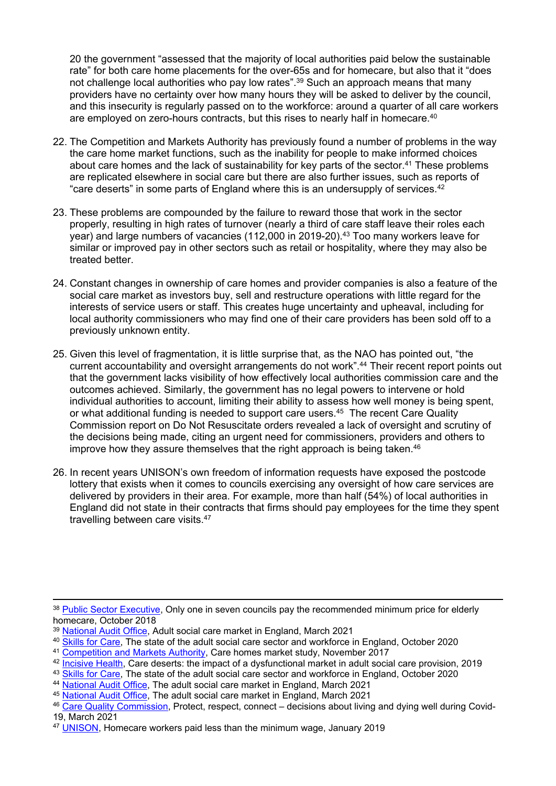20 the government "assessed that the majority of local authorities paid below the sustainable rate" for both care home placements for the over-65s and for homecare, but also that it "does not challenge local authorities who pay low rates".<sup>39</sup> Such an approach means that many providers have no certainty over how many hours they will be asked to deliver by the council, and this insecurity is regularly passed on to the workforce: around a quarter of all care workers are employed on zero-hours contracts, but this rises to nearly half in homecare.<sup>40</sup>

- 22. The Competition and Markets Authority has previously found a number of problems in the way the care home market functions, such as the inability for people to make informed choices about care homes and the lack of sustainability for key parts of the sector.<sup>41</sup> These problems are replicated elsewhere in social care but there are also further issues, such as reports of "care deserts" in some parts of England where this is an undersupply of services. $42$
- 23. These problems are compounded by the failure to reward those that work in the sector properly, resulting in high rates of turnover (nearly a third of care staff leave their roles each year) and large numbers of vacancies (112,000 in 2019-20).<sup>43</sup> Too many workers leave for similar or improved pay in other sectors such as retail or hospitality, where they may also be treated better.
- 24. Constant changes in ownership of care homes and provider companies is also a feature of the social care market as investors buy, sell and restructure operations with little regard for the interests of service users or staff. This creates huge uncertainty and upheaval, including for local authority commissioners who may find one of their care providers has been sold off to a previously unknown entity.
- 25. Given this level of fragmentation, it is little surprise that, as the NAO has pointed out, "the current accountability and oversight arrangements do not work".<sup>44</sup> Their recent report points out that the government lacks visibility of how effectively local authorities commission care and the outcomes achieved. Similarly, the government has no legal powers to intervene or hold individual authorities to account, limiting their ability to assess how well money is being spent, or what additional funding is needed to support care users.<sup>45</sup> The recent Care Quality Commission report on Do Not Resuscitate orders revealed a lack of oversight and scrutiny of the decisions being made, citing an urgent need for commissioners, providers and others to improve how they assure themselves that the right approach is being taken.<sup>46</sup>
- 26. In recent years UNISON's own freedom of information requests have exposed the postcode lottery that exists when it comes to councils exercising any oversight of how care services are delivered by providers in their area. For example, more than half (54%) of local authorities in England did not state in their contracts that firms should pay employees for the time they spent travelling between care visits.<sup>47</sup>

<sup>&</sup>lt;sup>38</sup> [Public](https://www.publicsectorexecutive.com/Public-Sector-News/only-one-in-seven-councils-pay-the-recommended-minimum-price-for-elderly-homecare-) [Sector](https://www.publicsectorexecutive.com/Public-Sector-News/only-one-in-seven-councils-pay-the-recommended-minimum-price-for-elderly-homecare-) [Executive,](https://www.publicsectorexecutive.com/Public-Sector-News/only-one-in-seven-councils-pay-the-recommended-minimum-price-for-elderly-homecare-) Only one in seven councils pay the recommended minimum price for elderly homecare, October 2018

<sup>39</sup> [National](http://www.nao.org.uk/wp-content/uploads/2021/03/The-adult-social-care-market-in-England.pdf) [Audit](http://www.nao.org.uk/wp-content/uploads/2021/03/The-adult-social-care-market-in-England.pdf) [Of](http://www.nao.org.uk/wp-content/uploads/2021/03/The-adult-social-care-market-in-England.pdf)fice, Adult social care market in England, March 2021

<sup>40</sup> [Skills](https://www.skillsforcare.org.uk/adult-social-care-workforce-data/Workforce-intelligence/publications/national-information/The-state-of-the-adult-social-care-sector-and-workforce-in-England.aspx) [for](https://www.skillsforcare.org.uk/adult-social-care-workforce-data/Workforce-intelligence/publications/national-information/The-state-of-the-adult-social-care-sector-and-workforce-in-England.aspx) [Care,](https://www.skillsforcare.org.uk/adult-social-care-workforce-data/Workforce-intelligence/publications/national-information/The-state-of-the-adult-social-care-sector-and-workforce-in-England.aspx) [Th](https://www.gov.uk/cma-cases/care-homes-market-study#final-report)e state of the adult social care sector and workforce in England, October 2020

<sup>41</sup> [Competition](https://www.gov.uk/cma-cases/care-homes-market-study#final-report) [and](https://www.gov.uk/cma-cases/care-homes-market-study#final-report) [Markets](https://www.gov.uk/cma-cases/care-homes-market-study#final-report) [Authority](https://www.gov.uk/cma-cases/care-homes-market-study#final-report), Care homes market study, November 2017

<sup>42</sup> [Incisive](https://www.ageuk.org.uk/globalassets/age-uk/documents/reports-and-publications/reports-and-briefings/care--support/care-deserts---age-uk-report.pdf) [Health,](https://www.ageuk.org.uk/globalassets/age-uk/documents/reports-and-publications/reports-and-briefings/care--support/care-deserts---age-uk-report.pdf) Care deserts: the impact of a dysfunctional market in adult social care provision, 2019

<sup>43</sup> [Skills](https://www.skillsforcare.org.uk/adult-social-care-workforce-data/Workforce-intelligence/publications/national-information/The-state-of-the-adult-social-care-sector-and-workforce-in-England.aspx) [for](https://www.skillsforcare.org.uk/adult-social-care-workforce-data/Workforce-intelligence/publications/national-information/The-state-of-the-adult-social-care-sector-and-workforce-in-England.aspx) [Care,](https://www.skillsforcare.org.uk/adult-social-care-workforce-data/Workforce-intelligence/publications/national-information/The-state-of-the-adult-social-care-sector-and-workforce-in-England.aspx) The state of the adult social care sector and workforce in England, October 2020

<sup>44</sup> [National](http://www.nao.org.uk/wp-content/uploads/2021/03/The-adult-social-care-market-in-England.pdf) [Audit](http://www.nao.org.uk/wp-content/uploads/2021/03/The-adult-social-care-market-in-England.pdf) [Office,](http://www.nao.org.uk/wp-content/uploads/2021/03/The-adult-social-care-market-in-England.pdf) The adult social care market in England, March 2021

<sup>45</sup> [National](http://www.nao.org.uk/wp-content/uploads/2021/03/The-adult-social-care-market-in-England.pdf) [Audit](http://www.nao.org.uk/wp-content/uploads/2021/03/The-adult-social-care-market-in-England.pdf) [Office,](http://www.nao.org.uk/wp-content/uploads/2021/03/The-adult-social-care-market-in-England.pdf) The adult social care market in England, March 2021

<sup>46</sup> [Care](https://www.cqc.org.uk/publications/themed-work/protect-respect-connect-decisions-about-living-dying-well-during-covid-19) [Quality](https://www.cqc.org.uk/publications/themed-work/protect-respect-connect-decisions-about-living-dying-well-during-covid-19) [Commission](https://www.cqc.org.uk/publications/themed-work/protect-respect-connect-decisions-about-living-dying-well-during-covid-19), Protect, respect, connect – decisions about living and dying well during Covid-19, March 2021

<sup>47</sup> [UNISON,](https://www.unison.org.uk/news/press-release/2019/01/homecare-workers-paid-less-minimum-wage/) Homecare workers paid less than the minimum wage, January 2019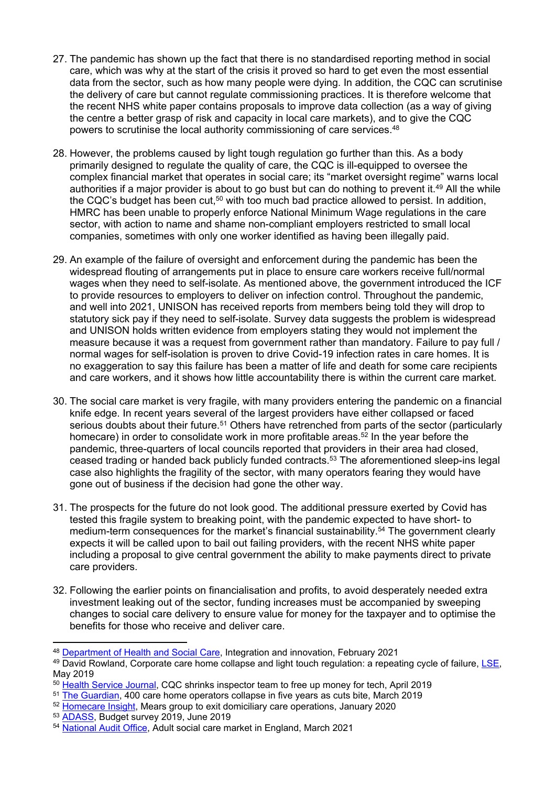- 27. The pandemic has shown up the fact that there is no standardised reporting method in social care, which was why at the start of the crisis it proved so hard to get even the most essential data from the sector, such as how many people were dying. In addition, the CQC can scrutinise the delivery of care but cannot regulate commissioning practices. It is therefore welcome that the recent NHS white paper contains proposals to improve data collection (as a way of giving the centre a better grasp of risk and capacity in local care markets), and to give the CQC powers to scrutinise the local authority commissioning of care services.<sup>48</sup>
- 28. However, the problems caused by light tough regulation go further than this. As a body primarily designed to regulate the quality of care, the CQC is ill-equipped to oversee the complex financial market that operates in social care; its "market oversight regime" warns local authorities if a major provider is about to go bust but can do nothing to prevent it.<sup>49</sup> All the while the CQC's budget has been cut,<sup>50</sup> with too much bad practice allowed to persist. In addition, HMRC has been unable to properly enforce National Minimum Wage regulations in the care sector, with action to name and shame non-compliant employers restricted to small local companies, sometimes with only one worker identified as having been illegally paid.
- 29. An example of the failure of oversight and enforcement during the pandemic has been the widespread flouting of arrangements put in place to ensure care workers receive full/normal wages when they need to self-isolate. As mentioned above, the government introduced the ICF to provide resources to employers to deliver on infection control. Throughout the pandemic, and well into 2021, UNISON has received reports from members being told they will drop to statutory sick pay if they need to self-isolate. Survey data suggests the problem is widespread and UNISON holds written evidence from employers stating they would not implement the measure because it was a request from government rather than mandatory. Failure to pay full / normal wages for self-isolation is proven to drive Covid-19 infection rates in care homes. It is no exaggeration to say this failure has been a matter of life and death for some care recipients and care workers, and it shows how little accountability there is within the current care market.
- 30. The social care market is very fragile, with many providers entering the pandemic on a financial knife edge. In recent years several of the largest providers have either collapsed or faced serious doubts about their future.<sup>51</sup> Others have retrenched from parts of the sector (particularly homecare) in order to consolidate work in more profitable areas.<sup>52</sup> In the year before the pandemic, three-quarters of local councils reported that providers in their area had closed, ceased trading or handed back publicly funded contracts.<sup>53</sup> The aforementioned sleep-ins legal case also highlights the fragility of the sector, with many operators fearing they would have gone out of business if the decision had gone the other way.
- 31. The prospects for the future do not look good. The additional pressure exerted by Covid has tested this fragile system to breaking point, with the pandemic expected to have short- to medium-term consequences for the market's financial sustainability.<sup>54</sup> The government clearly expects it will be called upon to bail out failing providers, with the recent NHS white paper including a proposal to give central government the ability to make payments direct to private care providers.
- 32. Following the earlier points on financialisation and profits, to avoid desperately needed extra investment leaking out of the sector, funding increases must be accompanied by sweeping changes to social care delivery to ensure value for money for the taxpayer and to optimise the benefits for those who receive and deliver care.

<sup>48</sup> [Department](https://www.gov.uk/government/publications/working-together-to-improve-health-and-social-care-for-all) [of](https://www.gov.uk/government/publications/working-together-to-improve-health-and-social-care-for-all) [Health](https://www.gov.uk/government/publications/working-together-to-improve-health-and-social-care-for-all) [and](https://www.gov.uk/government/publications/working-together-to-improve-health-and-social-care-for-all) [Social](https://www.gov.uk/government/publications/working-together-to-improve-health-and-social-care-for-all) [Care,](https://www.gov.uk/government/publications/working-together-to-improve-health-and-social-care-for-all) Integration and innovation, February 2021

<sup>49</sup> David Rowland, Corporate care home collapse and light touch regulation: a repeating cycle of failure, [LSE,](https://blogs.lse.ac.uk/politicsandpolicy/corporate-care-homes/) May 2019

<sup>&</sup>lt;sup>50</sup> [Health](https://www.hsj.co.uk/policy-and-regulation/exclusive-cqc-shrinks-inspector-team-to-free-up-money-for-tech/7024783.article) [Service](https://www.hsj.co.uk/policy-and-regulation/exclusive-cqc-shrinks-inspector-team-to-free-up-money-for-tech/7024783.article) [Journal](https://www.hsj.co.uk/policy-and-regulation/exclusive-cqc-shrinks-inspector-team-to-free-up-money-for-tech/7024783.article), CQC shrinks inspector team to free up money for tech, April 2019

<sup>51</sup> [The](https://www.theguardian.com/society/2019/mar/11/over-400-care-home-operators-collapse-in-five-years-as-cuts-take-toll) [Guardian,](https://www.theguardian.com/society/2019/mar/11/over-400-care-home-operators-collapse-in-five-years-as-cuts-take-toll) 400 care home operators collapse in five years as cuts bite, March 2019

<sup>&</sup>lt;sup>52</sup> [Homecare](https://www.homecareinsight.co.uk/breaking-news-mears-group-to-exit-domiciliary-care-operations/) [Insight](https://www.homecareinsight.co.uk/breaking-news-mears-group-to-exit-domiciliary-care-operations/), Mears group to exit domiciliary care operations, January 2020

<sup>53</sup> [ADASS,](https://www.adass.org.uk/adass-budget-survey-2019) Budget survey 2019, June 2019

<sup>54</sup> [National](http://www.nao.org.uk/wp-content/uploads/2021/03/The-adult-social-care-market-in-England.pdf) [Audit](http://www.nao.org.uk/wp-content/uploads/2021/03/The-adult-social-care-market-in-England.pdf) [Of](http://www.nao.org.uk/wp-content/uploads/2021/03/The-adult-social-care-market-in-England.pdf)fice, Adult social care market in England, March 2021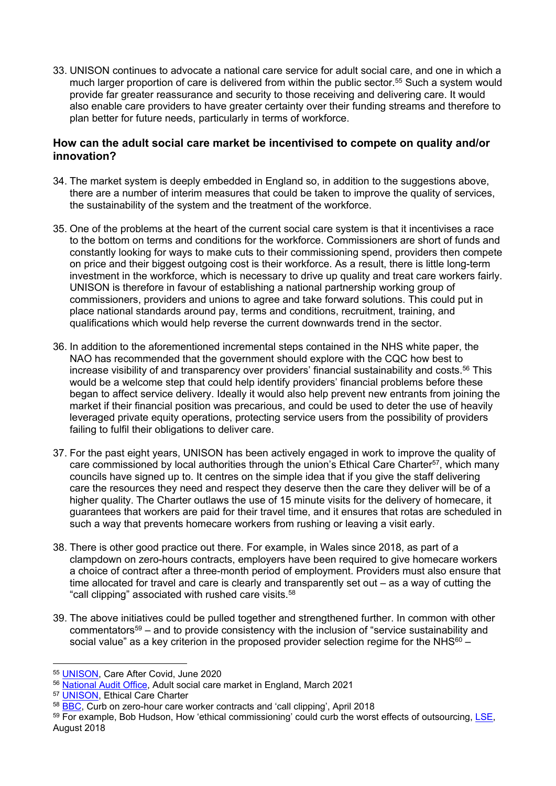33. UNISON continues to advocate a national care service for adult social care, and one in which a much larger proportion of care is delivered from within the public sector.<sup>55</sup> Such a system would provide far greater reassurance and security to those receiving and delivering care. It would also enable care providers to have greater certainty over their funding streams and therefore to plan better for future needs, particularly in terms of workforce.

#### **How can the adult social care market be incentivised to compete on quality and/or innovation?**

- 34. The market system is deeply embedded in England so, in addition to the suggestions above, there are a number of interim measures that could be taken to improve the quality of services, the sustainability of the system and the treatment of the workforce.
- 35. One of the problems at the heart of the current social care system is that it incentivises a race to the bottom on terms and conditions for the workforce. Commissioners are short of funds and constantly looking for ways to make cuts to their commissioning spend, providers then compete on price and their biggest outgoing cost is their workforce. As a result, there is little long-term investment in the workforce, which is necessary to drive up quality and treat care workers fairly. UNISON is therefore in favour of establishing a national partnership working group of commissioners, providers and unions to agree and take forward solutions. This could put in place national standards around pay, terms and conditions, recruitment, training, and qualifications which would help reverse the current downwards trend in the sector.
- 36. In addition to the aforementioned incremental steps contained in the NHS white paper, the NAO has recommended that the government should explore with the CQC how best to increase visibility of and transparency over providers' financial sustainability and costs.<sup>56</sup> This would be a welcome step that could help identify providers' financial problems before these began to affect service delivery. Ideally it would also help prevent new entrants from joining the market if their financial position was precarious, and could be used to deter the use of heavily leveraged private equity operations, protecting service users from the possibility of providers failing to fulfil their obligations to deliver care.
- 37. For the past eight years, UNISON has been actively engaged in work to improve the quality of care commissioned by local authorities through the union's Ethical Care Charter<sup>57</sup>, which many councils have signed up to. It centres on the simple idea that if you give the staff delivering care the resources they need and respect they deserve then the care they deliver will be of a higher quality. The Charter outlaws the use of 15 minute visits for the delivery of homecare, it guarantees that workers are paid for their travel time, and it ensures that rotas are scheduled in such a way that prevents homecare workers from rushing or leaving a visit early.
- 38. There is other good practice out there. For example, in Wales since 2018, as part of a clampdown on zero-hours contracts, employers have been required to give homecare workers a choice of contract after a three-month period of employment. Providers must also ensure that time allocated for travel and care is clearly and transparently set out – as a way of cutting the "call clipping" associated with rushed care visits.<sup>58</sup>
- 39. The above initiatives could be pulled together and strengthened further. In common with other commentators<sup>59</sup> – and to provide consistency with the inclusion of "service sustainability and social value" as a key criterion in the proposed provider selection regime for the NHS $60 -$

<sup>55</sup> [UNISON,](https://www.unison.org.uk/content/uploads/2020/06/A-UNISON-Vision-for-Social-Care-June-2020.pdf) Care After Covid, June 2020

<sup>56</sup> [National](http://www.nao.org.uk/wp-content/uploads/2021/03/The-adult-social-care-market-in-England.pdf) [Audit](http://www.nao.org.uk/wp-content/uploads/2021/03/The-adult-social-care-market-in-England.pdf) [Of](http://www.nao.org.uk/wp-content/uploads/2021/03/The-adult-social-care-market-in-England.pdf)fice, Adult social care market in England, March 2021

<sup>57</sup> [UNISON,](http://www.unison.org.uk/content/uploads/2013/11/On-line-Catalogue220142.pdf) Ethical Care Charter

<sup>58</sup> [BBC](https://www.bbc.co.uk/news/uk-wales-politics-43606992), Curb on zero-hour care worker contracts and 'call clipping', April 2018

<sup>&</sup>lt;sup>59</sup> For example, Bob Hudson, How 'ethical commissioning' could curb the worst effects of outsourcing, [LSE](https://blogs.lse.ac.uk/politicsandpolicy/ethical-commissioning-outsourcing/), August 2018